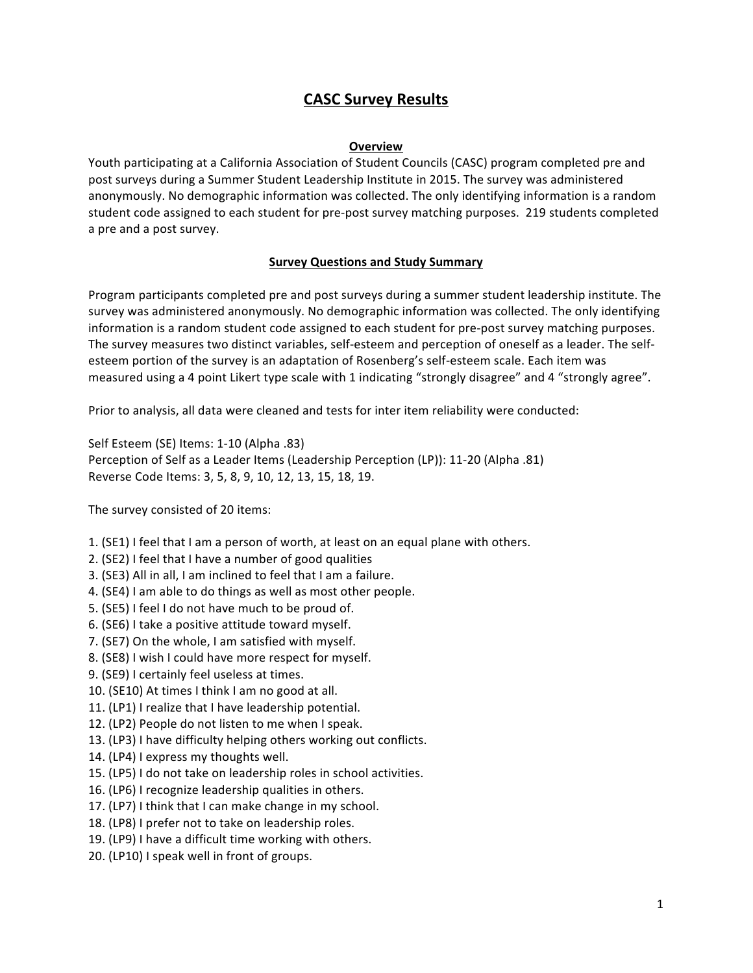# **CASC Survey Results**

#### **Overview**

Youth participating at a California Association of Student Councils (CASC) program completed pre and post surveys during a Summer Student Leadership Institute in 2015. The survey was administered anonymously. No demographic information was collected. The only identifying information is a random student code assigned to each student for pre-post survey matching purposes. 219 students completed a pre and a post survey.

## **Survey Questions and Study Summary**

Program participants completed pre and post surveys during a summer student leadership institute. The survey was administered anonymously. No demographic information was collected. The only identifying information is a random student code assigned to each student for pre-post survey matching purposes. The survey measures two distinct variables, self-esteem and perception of oneself as a leader. The selfesteem portion of the survey is an adaptation of Rosenberg's self-esteem scale. Each item was measured using a 4 point Likert type scale with 1 indicating "strongly disagree" and 4 "strongly agree".

Prior to analysis, all data were cleaned and tests for inter item reliability were conducted:

Self Esteem (SE) Items: 1-10 (Alpha .83) Perception of Self as a Leader Items (Leadership Perception (LP)): 11-20 (Alpha .81) Reverse Code Items: 3, 5, 8, 9, 10, 12, 13, 15, 18, 19.

The survey consisted of 20 items:

- 1. (SE1) I feel that I am a person of worth, at least on an equal plane with others.
- 2. (SE2) I feel that I have a number of good qualities
- 3. (SE3) All in all, I am inclined to feel that I am a failure.
- 4. (SE4) I am able to do things as well as most other people.
- 5. (SE5) I feel I do not have much to be proud of.
- 6. (SE6) I take a positive attitude toward myself.
- 7. (SE7) On the whole, I am satisfied with myself.
- 8. (SE8) I wish I could have more respect for myself.
- 9. (SE9) I certainly feel useless at times.
- 10. (SE10) At times I think I am no good at all.
- 11. (LP1) I realize that I have leadership potential.
- 12. (LP2) People do not listen to me when I speak.
- 13. (LP3) I have difficulty helping others working out conflicts.
- 14. (LP4) I express my thoughts well.
- 15. (LP5) I do not take on leadership roles in school activities.
- 16. (LP6) I recognize leadership qualities in others.
- 17. (LP7) I think that I can make change in my school.
- 18. (LP8) I prefer not to take on leadership roles.
- 19. (LP9) I have a difficult time working with others.
- 20. (LP10) I speak well in front of groups.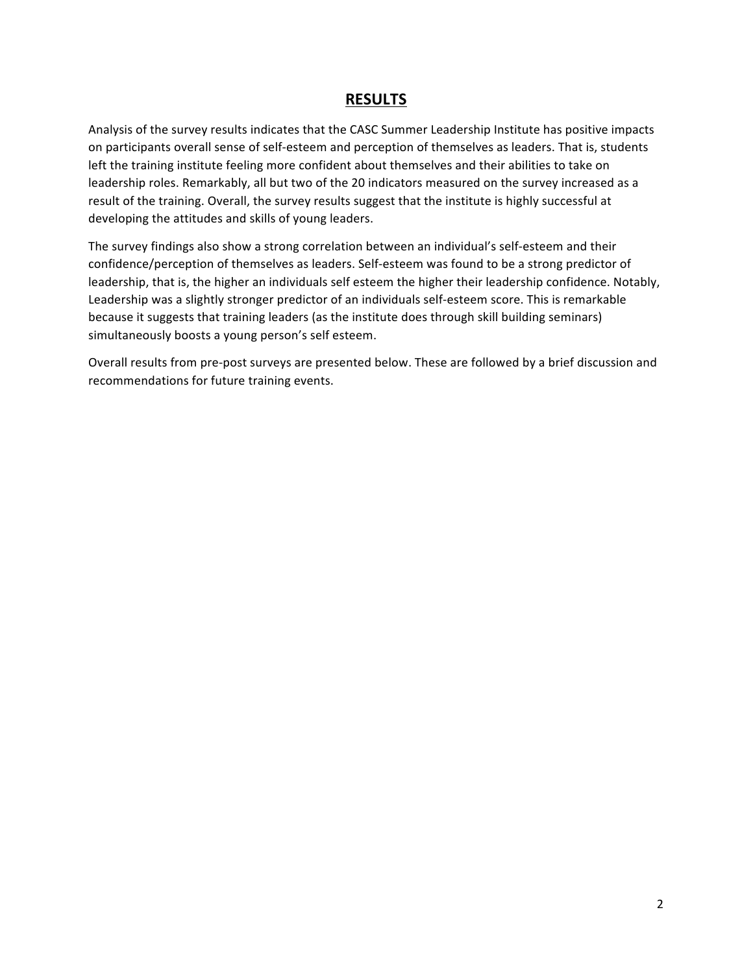## **RESULTS**

Analysis of the survey results indicates that the CASC Summer Leadership Institute has positive impacts on participants overall sense of self-esteem and perception of themselves as leaders. That is, students left the training institute feeling more confident about themselves and their abilities to take on leadership roles. Remarkably, all but two of the 20 indicators measured on the survey increased as a result of the training. Overall, the survey results suggest that the institute is highly successful at developing the attitudes and skills of young leaders.

The survey findings also show a strong correlation between an individual's self-esteem and their confidence/perception of themselves as leaders. Self-esteem was found to be a strong predictor of leadership, that is, the higher an individuals self esteem the higher their leadership confidence. Notably, Leadership was a slightly stronger predictor of an individuals self-esteem score. This is remarkable because it suggests that training leaders (as the institute does through skill building seminars) simultaneously boosts a young person's self esteem.

Overall results from pre-post surveys are presented below. These are followed by a brief discussion and recommendations for future training events.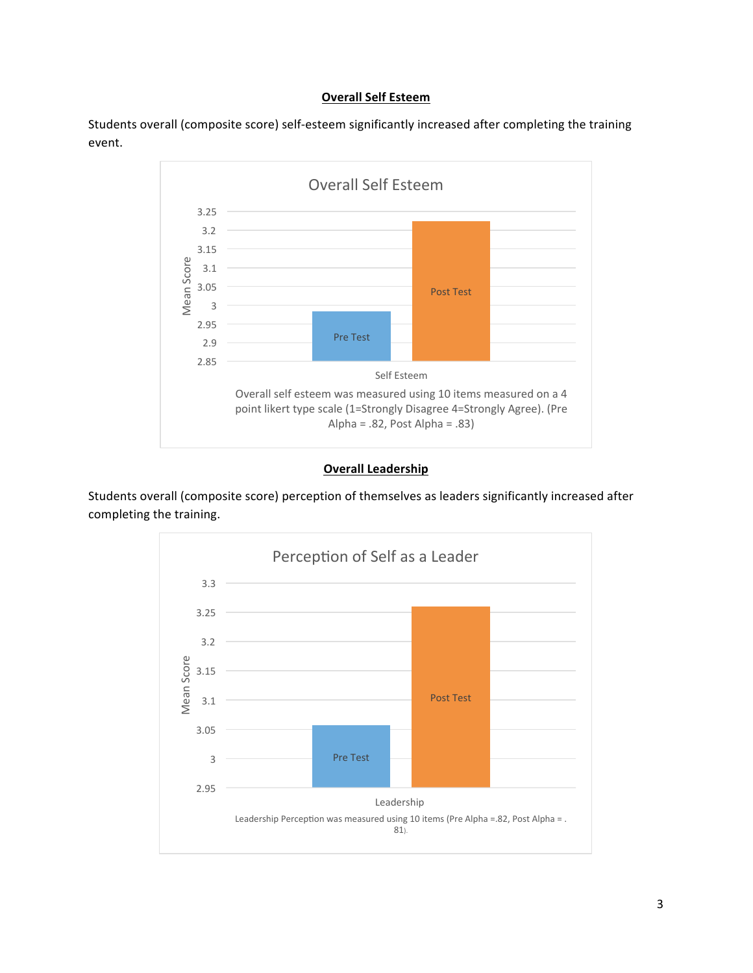#### **Overall Self Esteem**

Students overall (composite score) self-esteem significantly increased after completing the training event. 



## **Overall Leadership**

Students overall (composite score) perception of themselves as leaders significantly increased after completing the training.

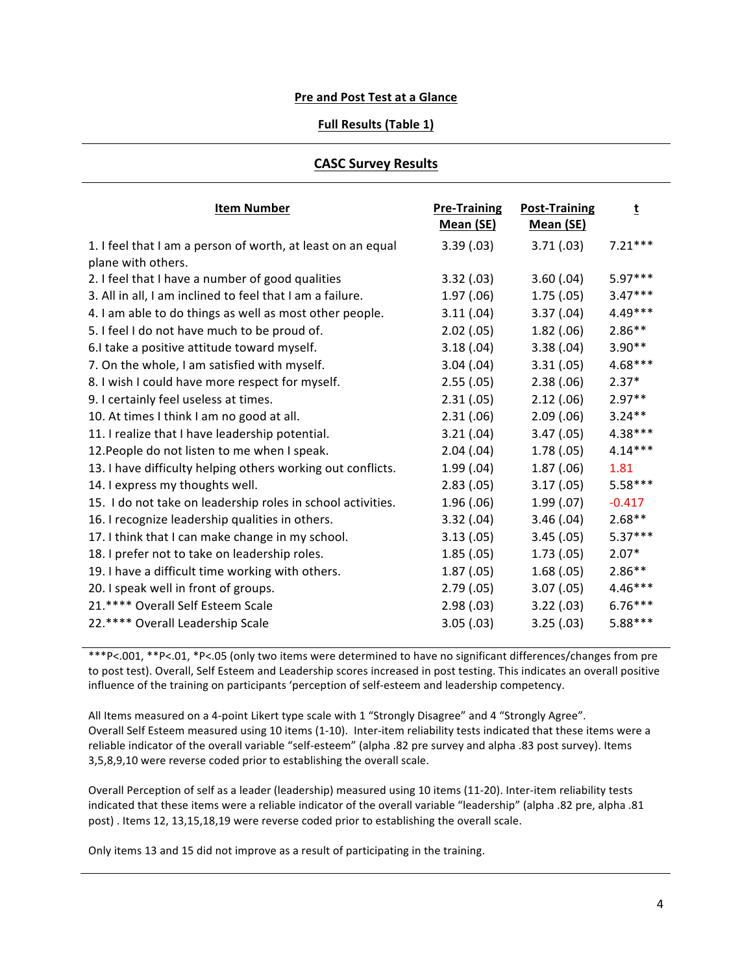#### **Pre and Post Test at a Glance**

#### **Full Results (Table 1)**

#### **CASC Survey Results**

| <b>Item Number</b>                                                                | <b>Pre-Training</b><br>Mean (SE) | <b>Post-Training</b><br>Mean (SE) | t         |
|-----------------------------------------------------------------------------------|----------------------------------|-----------------------------------|-----------|
| 1. I feel that I am a person of worth, at least on an equal<br>plane with others. | 3.39(0.03)                       | 3.71(.03)                         | $7.21***$ |
| 2. I feel that I have a number of good qualities                                  | 3.32(0.03)                       | 3.60(.04)                         | 5.97***   |
| 3. All in all, I am inclined to feel that I am a failure.                         | 1.97(0.06)                       | 1.75(.05)                         | $3.47***$ |
| 4. I am able to do things as well as most other people.                           | 3.11(.04)                        | 3.37(.04)                         | 4.49***   |
| 5. I feel I do not have much to be proud of.                                      | $2.02$ $(.05)$                   | 1.82(.06)                         | $2.86**$  |
| 6.I take a positive attitude toward myself.                                       | 3.18(.04)                        | 3.38(.04)                         | $3.90**$  |
| 7. On the whole, I am satisfied with myself.                                      | 3.04(.04)                        | 3.31(.05)                         | 4.68***   |
| 8. I wish I could have more respect for myself.                                   | 2.55(.05)                        | 2.38(.06)                         | $2.37*$   |
| 9. I certainly feel useless at times.                                             | 2.31(.05)                        | 2.12(.06)                         | $2.97**$  |
| 10. At times I think I am no good at all.                                         | 2.31(.06)                        | 2.09(.06)                         | $3.24***$ |
| 11. I realize that I have leadership potential.                                   | 3.21(.04)                        | 3.47(0.05)                        | $4.38***$ |
| 12. People do not listen to me when I speak.                                      | 2.04(0.04)                       | 1.78(.05)                         | $4.14***$ |
| 13. I have difficulty helping others working out conflicts.                       | 1.99(0.04)                       | 1.87(.06)                         | 1.81      |
| 14. I express my thoughts well.                                                   | 2.83(.05)                        | 3.17(0.05)                        | $5.58***$ |
| 15. I do not take on leadership roles in school activities.                       | 1.96(0.06)                       | 1.99(0.07)                        | $-0.417$  |
| 16. I recognize leadership qualities in others.                                   | 3.32(.04)                        | 3.46(.04)                         | $2.68**$  |
| 17. I think that I can make change in my school.                                  | 3.13(0.05)                       | 3.45(.05)                         | $5.37***$ |
| 18. I prefer not to take on leadership roles.                                     | 1.85(.05)                        | 1.73(0.05)                        | $2.07*$   |
| 19. I have a difficult time working with others.                                  | 1.87(.05)                        | 1.68(.05)                         | $2.86**$  |
| 20. I speak well in front of groups.                                              | 2.79(.05)                        | 3.07(0.05)                        | $4.46***$ |
| 21.**** Overall Self Esteem Scale                                                 | 2.98(0.03)                       | 3.22(.03)                         | $6.76***$ |
| 22.**** Overall Leadership Scale                                                  | 3.05(0.03)                       | 3.25(.03)                         | $5.88***$ |

\*\*\*P<.001, \*\*P<.01, \*P<.05 (only two items were determined to have no significant differences/changes from pre to post test). Overall, Self Esteem and Leadership scores increased in post testing. This indicates an overall positive influence of the training on participants 'perception of self-esteem and leadership competency.

All Items measured on a 4-point Likert type scale with 1 "Strongly Disagree" and 4 "Strongly Agree". Overall Self Esteem measured using 10 items (1-10). Inter-item reliability tests indicated that these items were a reliable indicator of the overall variable "self-esteem" (alpha .82 pre survey and alpha .83 post survey). Items 3,5,8,9,10 were reverse coded prior to establishing the overall scale.

Overall Perception of self as a leader (leadership) measured using 10 items (11-20). Inter-item reliability tests indicated that these items were a reliable indicator of the overall variable "leadership" (alpha .82 pre, alpha .81 post). Items 12, 13,15,18,19 were reverse coded prior to establishing the overall scale.

Only items 13 and 15 did not improve as a result of participating in the training.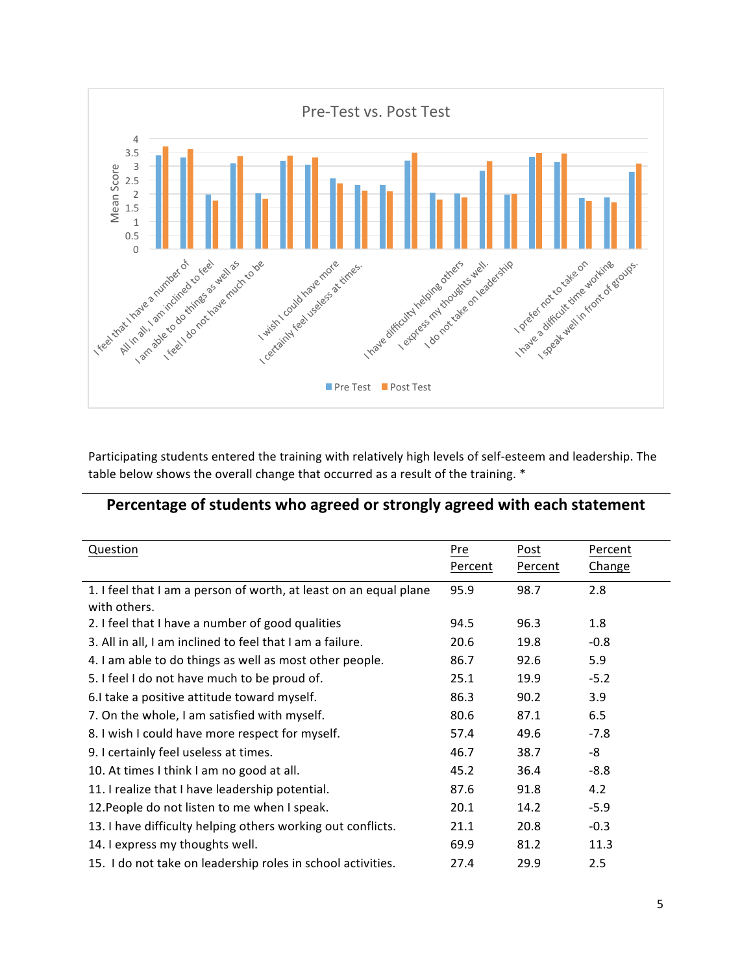

Participating students entered the training with relatively high levels of self-esteem and leadership. The table below shows the overall change that occurred as a result of the training. \*

# Percentage of students who agreed or strongly agreed with each statement

| Question                                                          | Pre     | Post    | Percent |
|-------------------------------------------------------------------|---------|---------|---------|
|                                                                   | Percent | Percent | Change  |
| 1. I feel that I am a person of worth, at least on an equal plane | 95.9    | 98.7    | 2.8     |
| with others.                                                      |         |         |         |
| 2. I feel that I have a number of good qualities                  | 94.5    | 96.3    | 1.8     |
| 3. All in all, I am inclined to feel that I am a failure.         | 20.6    | 19.8    | $-0.8$  |
| 4. I am able to do things as well as most other people.           | 86.7    | 92.6    | 5.9     |
| 5. I feel I do not have much to be proud of.                      | 25.1    | 19.9    | $-5.2$  |
| 6. I take a positive attitude toward myself.                      | 86.3    | 90.2    | 3.9     |
| 7. On the whole, I am satisfied with myself.                      | 80.6    | 87.1    | 6.5     |
| 8. I wish I could have more respect for myself.                   | 57.4    | 49.6    | $-7.8$  |
| 9. I certainly feel useless at times.                             | 46.7    | 38.7    | -8      |
| 10. At times I think I am no good at all.                         | 45.2    | 36.4    | $-8.8$  |
| 11. I realize that I have leadership potential.                   | 87.6    | 91.8    | 4.2     |
| 12. People do not listen to me when I speak.                      | 20.1    | 14.2    | $-5.9$  |
| 13. I have difficulty helping others working out conflicts.       | 21.1    | 20.8    | $-0.3$  |
| 14. I express my thoughts well.                                   | 69.9    | 81.2    | 11.3    |
| 15. I do not take on leadership roles in school activities.       | 27.4    | 29.9    | 2.5     |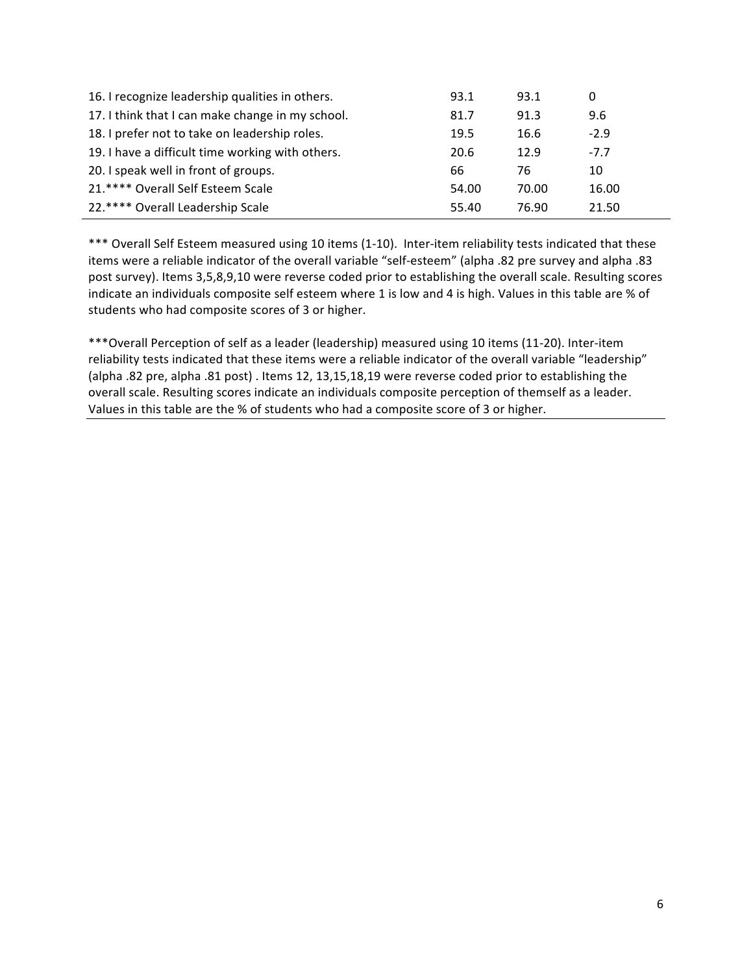| 16. I recognize leadership qualities in others.  | 93.1  | 93.1  | 0      |
|--------------------------------------------------|-------|-------|--------|
| 17. I think that I can make change in my school. | 81.7  | 91.3  | 9.6    |
| 18. I prefer not to take on leadership roles.    | 19.5  | 16.6  | $-2.9$ |
| 19. I have a difficult time working with others. | 20.6  | 12.9  | $-7.7$ |
| 20. I speak well in front of groups.             | 66    | 76    | 10     |
| 21.**** Overall Self Esteem Scale                | 54.00 | 70.00 | 16.00  |
| 22.**** Overall Leadership Scale                 | 55.40 | 76.90 | 21.50  |

\*\*\* Overall Self Esteem measured using 10 items (1-10). Inter-item reliability tests indicated that these items were a reliable indicator of the overall variable "self-esteem" (alpha .82 pre survey and alpha .83 post survey). Items 3,5,8,9,10 were reverse coded prior to establishing the overall scale. Resulting scores indicate an individuals composite self esteem where 1 is low and 4 is high. Values in this table are % of students who had composite scores of 3 or higher.

\*\*\* Overall Perception of self as a leader (leadership) measured using 10 items (11-20). Inter-item reliability tests indicated that these items were a reliable indicator of the overall variable "leadership" (alpha .82 pre, alpha .81 post) . Items 12, 13,15,18,19 were reverse coded prior to establishing the overall scale. Resulting scores indicate an individuals composite perception of themself as a leader. Values in this table are the % of students who had a composite score of 3 or higher.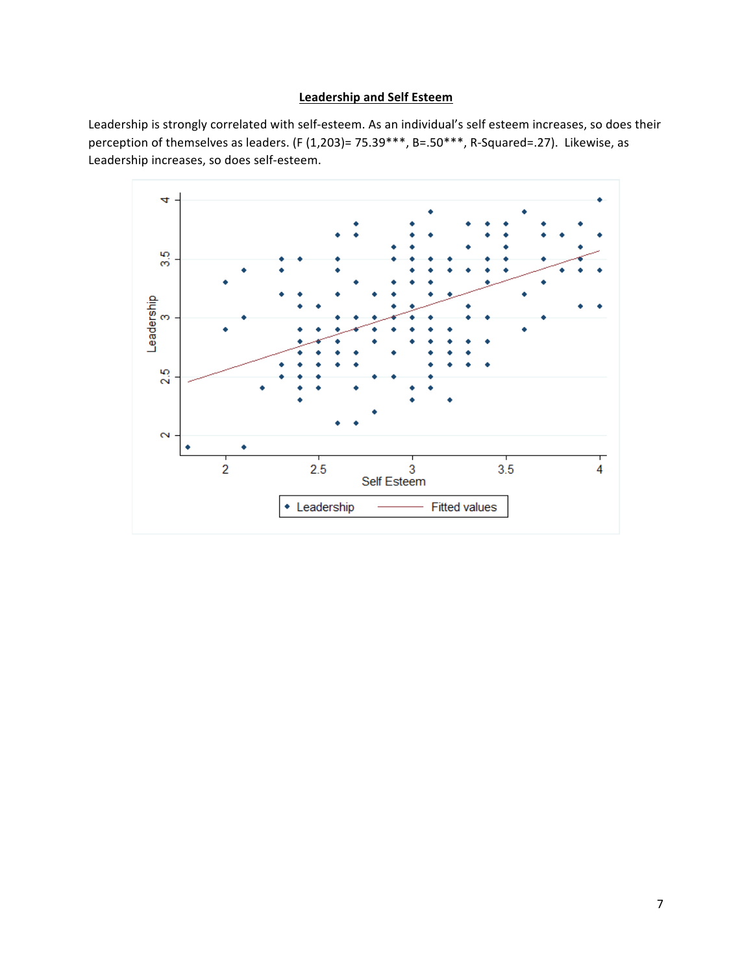## **Leadership and Self Esteem**

Leadership is strongly correlated with self-esteem. As an individual's self esteem increases, so does their perception of themselves as leaders. (F (1,203)= 75.39\*\*\*, B=.50\*\*\*, R-Squared=.27). Likewise, as Leadership increases, so does self-esteem.

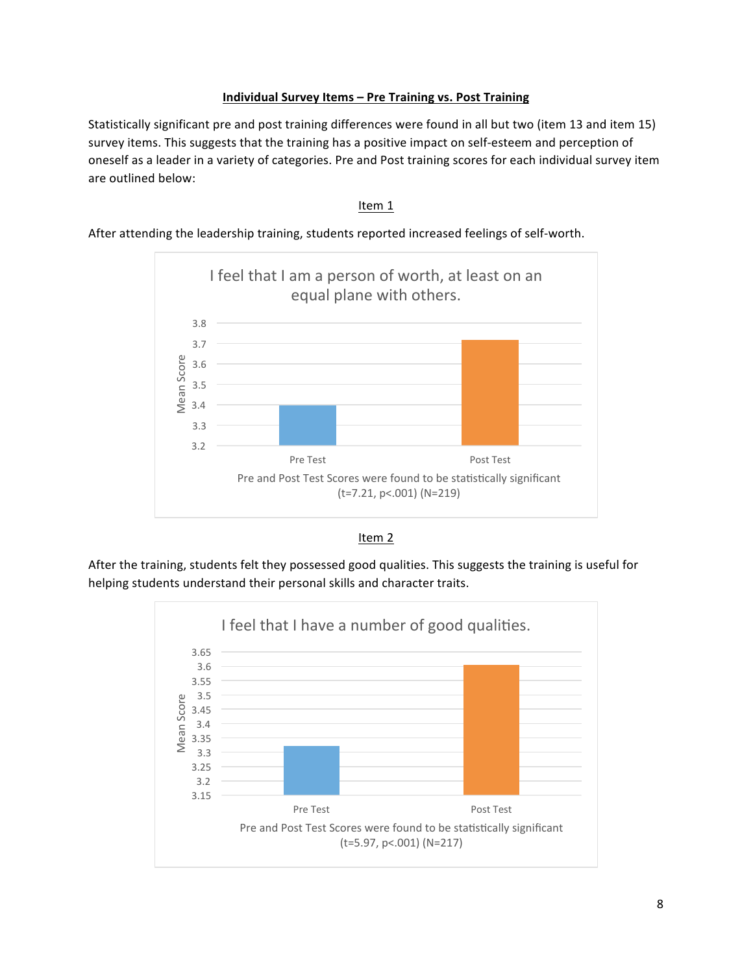## **Individual Survey Items - Pre Training vs. Post Training**

Statistically significant pre and post training differences were found in all but two (item 13 and item 15) survey items. This suggests that the training has a positive impact on self-esteem and perception of oneself as a leader in a variety of categories. Pre and Post training scores for each individual survey item are outlined below:

#### Item 1

After attending the leadership training, students reported increased feelings of self-worth.





After the training, students felt they possessed good qualities. This suggests the training is useful for helping students understand their personal skills and character traits.

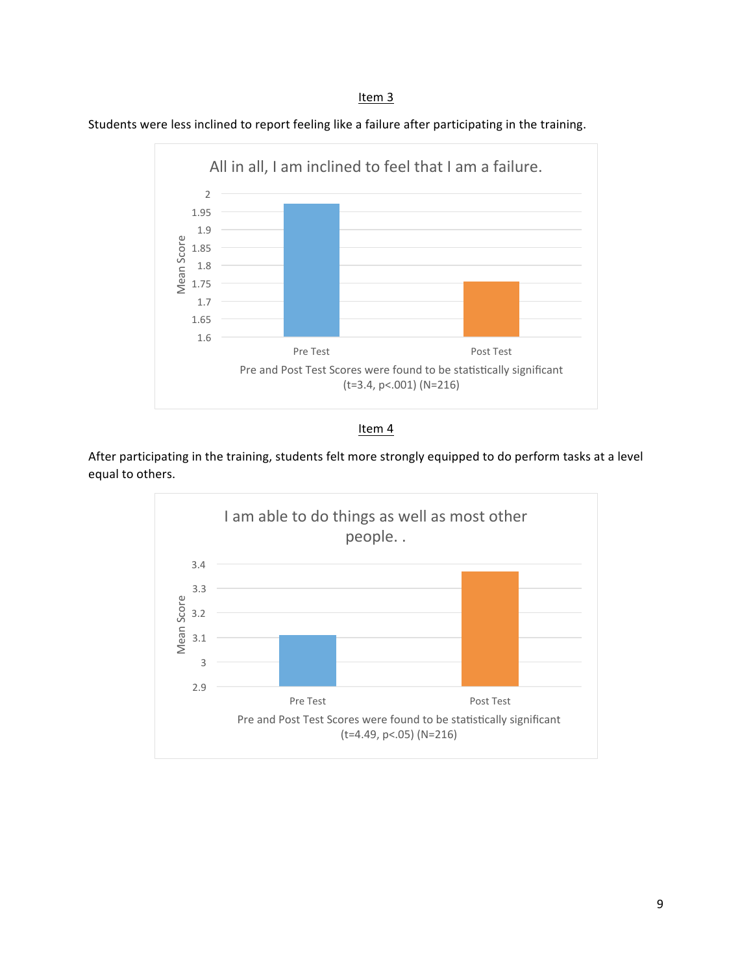Students were less inclined to report feeling like a failure after participating in the training.





After participating in the training, students felt more strongly equipped to do perform tasks at a level equal to others.

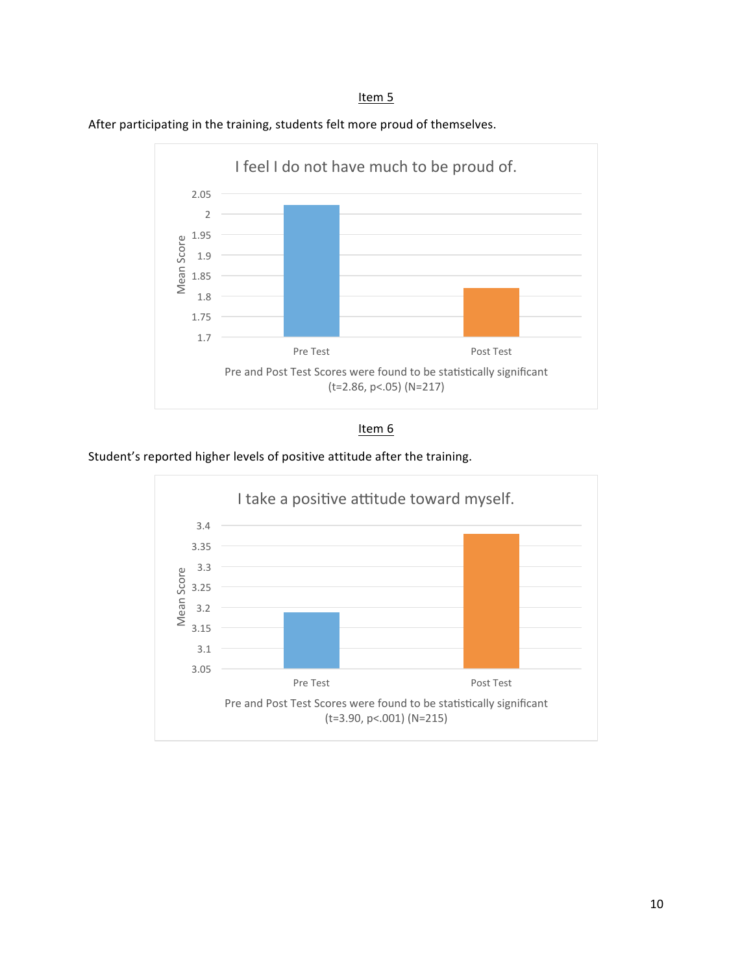#### Item<sub>5</sub>







Student's reported higher levels of positive attitude after the training.

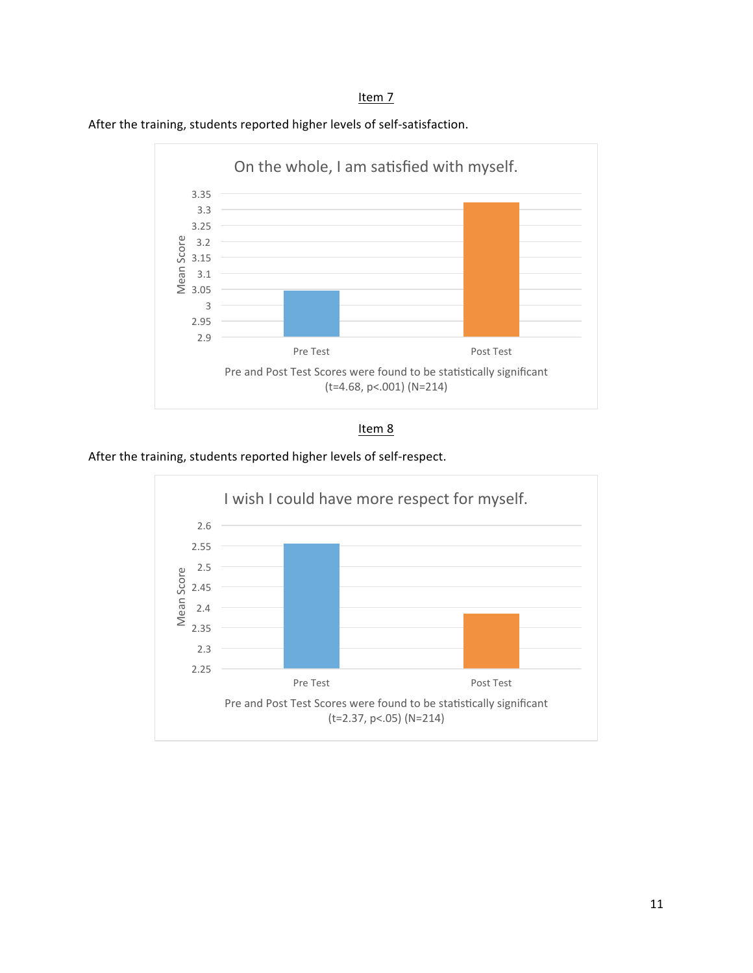#### Item<sub>7</sub>



After the training, students reported higher levels of self-satisfaction.



After the training, students reported higher levels of self-respect.

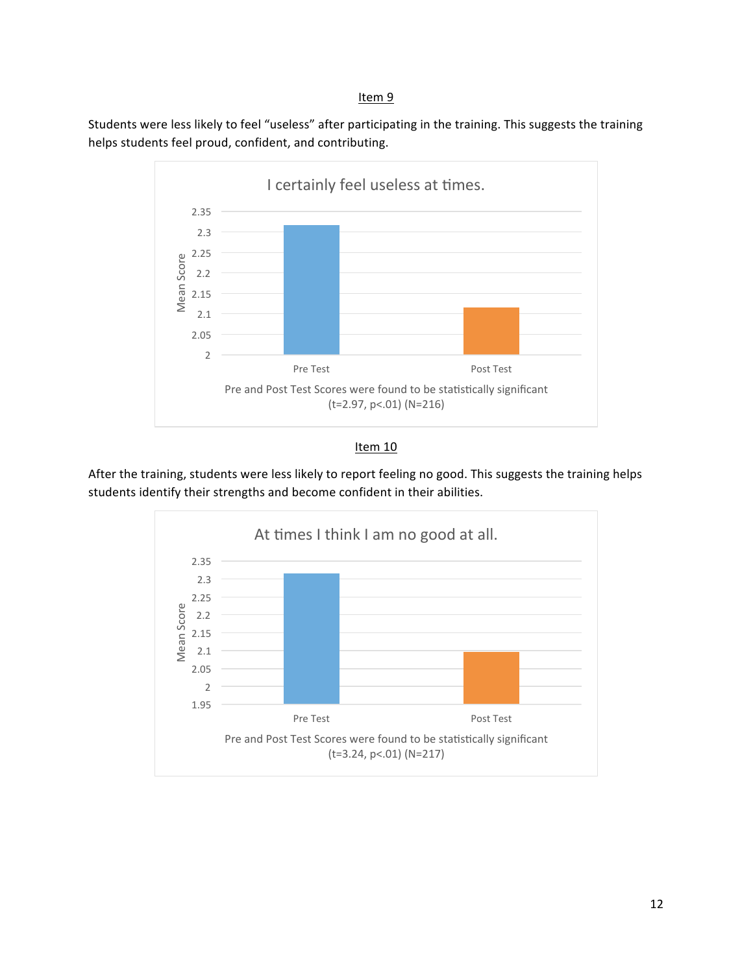Students were less likely to feel "useless" after participating in the training. This suggests the training helps students feel proud, confident, and contributing.



## Item 10

After the training, students were less likely to report feeling no good. This suggests the training helps students identify their strengths and become confident in their abilities.

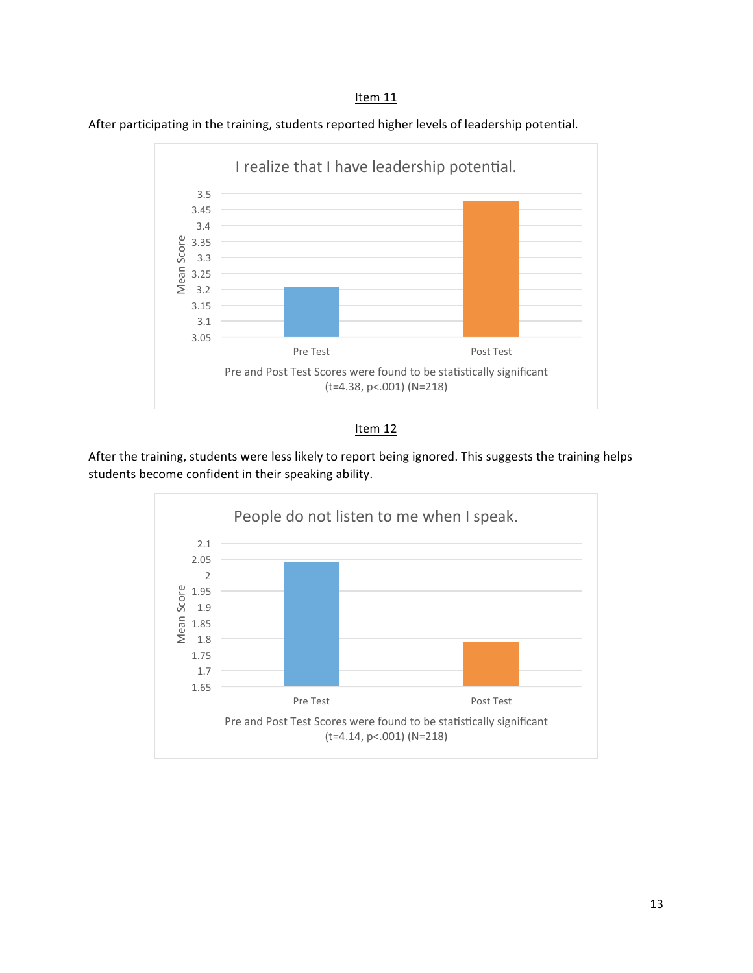





After the training, students were less likely to report being ignored. This suggests the training helps students become confident in their speaking ability.

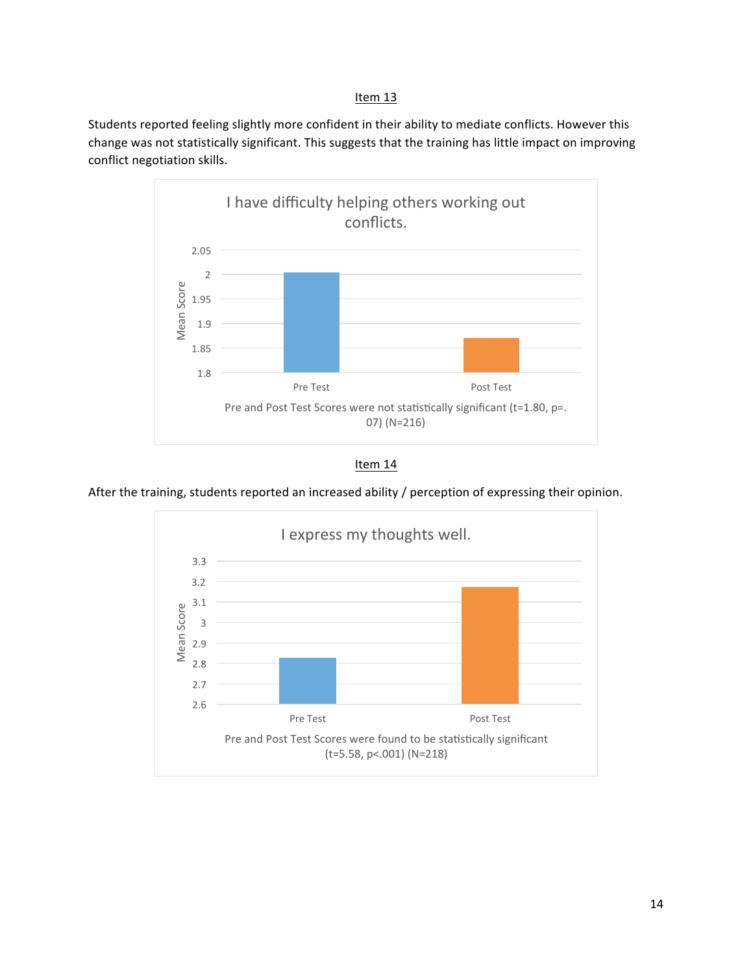Students reported feeling slightly more confident in their ability to mediate conflicts. However this change was not statistically significant. This suggests that the training has little impact on improving conflict negotiation skills.



Item 14

After the training, students reported an increased ability / perception of expressing their opinion.

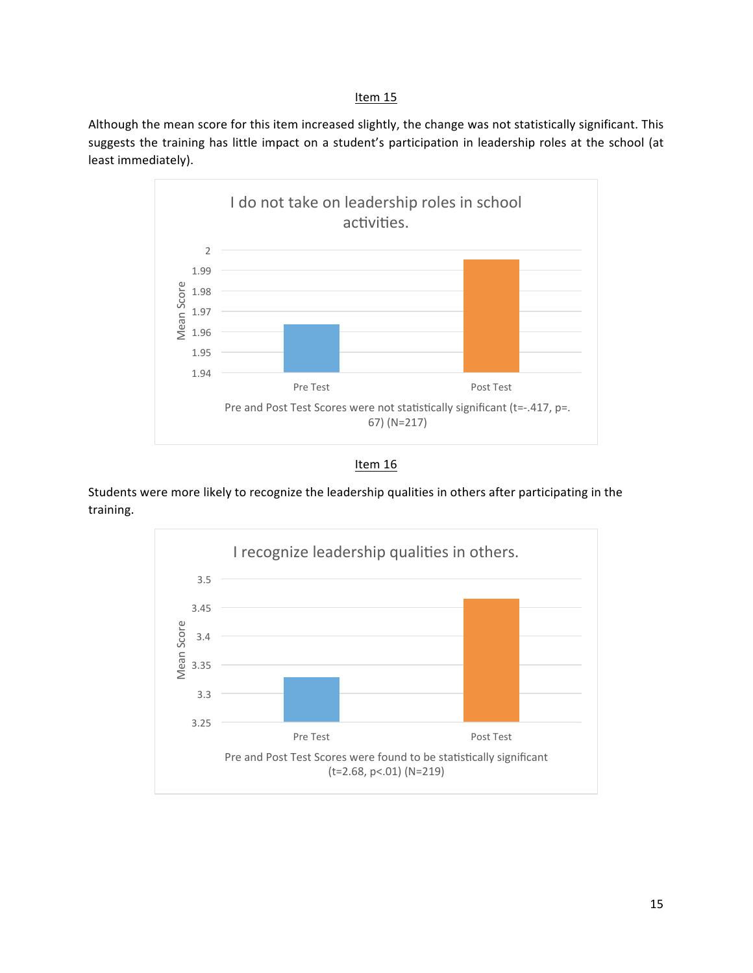Although the mean score for this item increased slightly, the change was not statistically significant. This suggests the training has little impact on a student's participation in leadership roles at the school (at least immediately).



Item 16

Students were more likely to recognize the leadership qualities in others after participating in the training. 

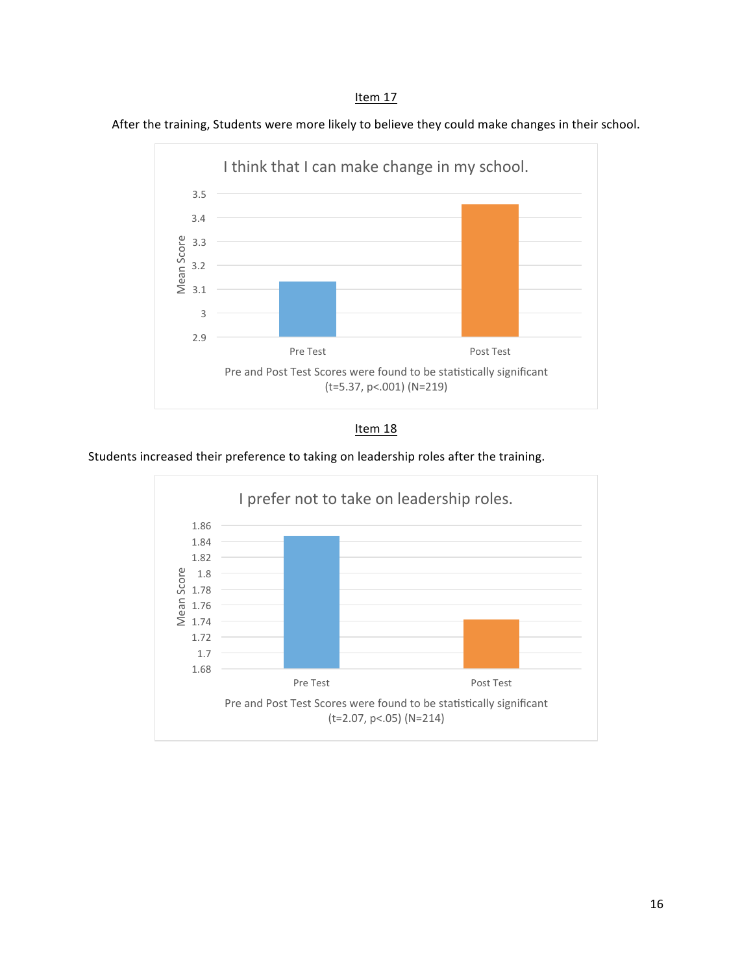After the training, Students were more likely to believe they could make changes in their school.





Students increased their preference to taking on leadership roles after the training.

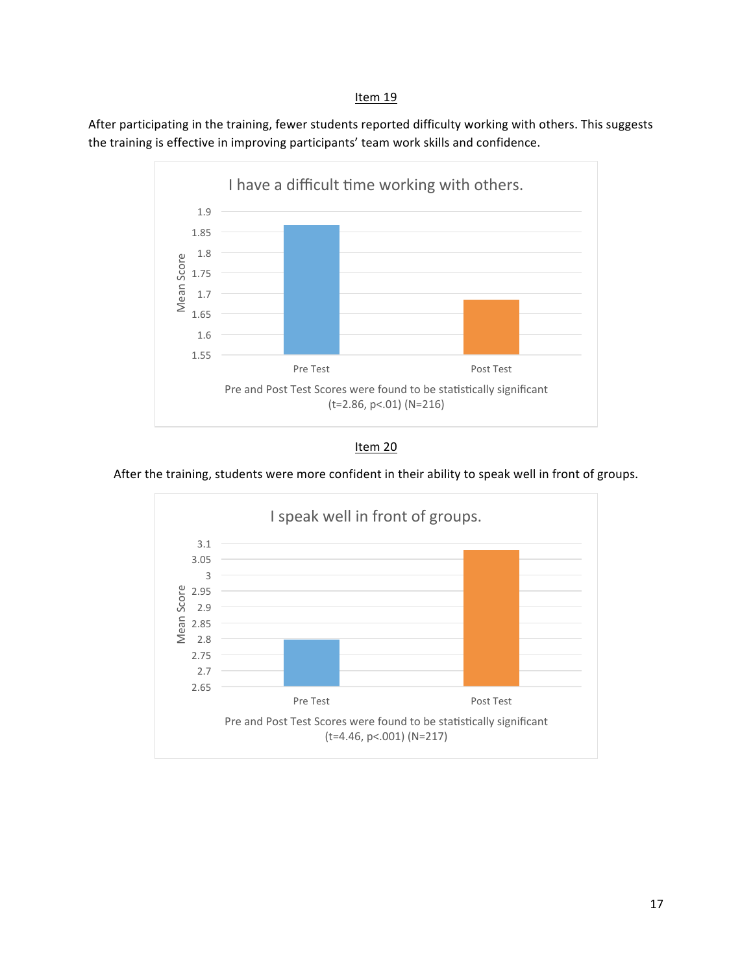After participating in the training, fewer students reported difficulty working with others. This suggests the training is effective in improving participants' team work skills and confidence.





After the training, students were more confident in their ability to speak well in front of groups.